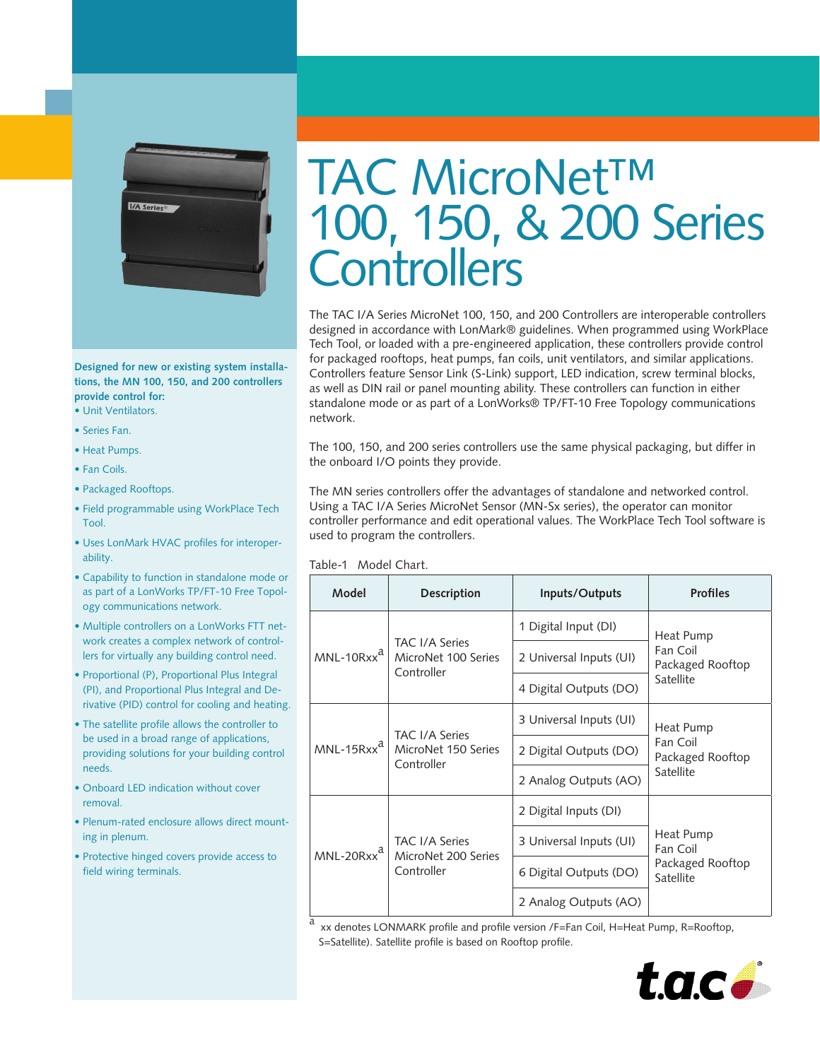

**Designed for new or existing system installations, the MN 100, 150, and 200 controllers provide control for:**

- Unit Ventilators.
- Series Fan.

• •

- Heat Pumps.
- Fan Coils.
- Packaged Rooftops.
- Field programmable using WorkPlace Tech Tool.
- Uses LonMark HVAC profiles for interoperability.
- Capability to function in standalone mode or as part of a LonWorks TP/FT-10 Free Topology communications network.
- Multiple controllers on a LonWorks FTT network creates a complex network of controllers for virtually any building control need.
- Proportional (P), Proportional Plus Integral (PI), and Proportional Plus Integral and Derivative (PID) control for cooling and heating.
- The satellite profile allows the controller to be used in a broad range of applications, providing solutions for your building control needs.
- Onboard LED indication without cover removal.
- Plenum-rated enclosure allows direct mounting in plenum.
- Protective hinged covers provide access to field wiring terminals.

# TAC MicroNet™ 100, 150, & 200 Series **Controllers**

The TAC I/A Series MicroNet 100, 150, and 200 Controllers are interoperable controllers designed in accordance with LonMark® guidelines. When programmed using WorkPlace Tech Tool, or loaded with a pre-engineered application, these controllers provide control for packaged rooftops, heat pumps, fan coils, unit ventilators, and similar applications. Controllers feature Sensor Link (S-Link) support, LED indication, screw terminal blocks, as well as DIN rail or panel mounting ability. These controllers can function in either standalone mode or as part of a LonWorks® TP/FT-10 Free Topology communications network.

The 100, 150, and 200 series controllers use the same physical packaging, but differ in the onboard I/O points they provide.

The MN series controllers offer the advantages of standalone and networked control. Using a TAC I/A Series MicroNet Sensor (MN-Sx series), the operator can monitor controller performance and edit operational values. The WorkPlace Tech Tool software is used to program the controllers.

Table-1 Model Chart.

| Model                  | <b>Description</b>                                         | Inputs/Outputs          | <b>Profiles</b>                                        |
|------------------------|------------------------------------------------------------|-------------------------|--------------------------------------------------------|
| $MNL-10Rxx^a$          | <b>TAC I/A Series</b><br>MicroNet 100 Series<br>Controller | 1 Digital Input (DI)    | Heat Pump<br>Fan Coil<br>Packaged Rooftop<br>Satellite |
|                        |                                                            | 2 Universal Inputs (UI) |                                                        |
|                        |                                                            | 4 Digital Outputs (DO)  |                                                        |
| MNL-15Rxx <sup>a</sup> | <b>TAC I/A Series</b><br>MicroNet 150 Series<br>Controller | 3 Universal Inputs (UI) | Heat Pump<br>Fan Coil<br>Packaged Rooftop<br>Satellite |
|                        |                                                            | 2 Digital Outputs (DO)  |                                                        |
|                        |                                                            | 2 Analog Outputs (AO)   |                                                        |
| MNL-20Rxx <sup>a</sup> | <b>TAC I/A Series</b><br>MicroNet 200 Series<br>Controller | 2 Digital Inputs (DI)   | Heat Pump<br>Fan Coil<br>Packaged Rooftop<br>Satellite |
|                        |                                                            | 3 Universal Inputs (UI) |                                                        |
|                        |                                                            | 6 Digital Outputs (DO)  |                                                        |
|                        |                                                            | 2 Analog Outputs (AO)   |                                                        |

a<br>xx denotes LONMARK profile and profile version /F=Fan Coil, H=Heat Pump, R=Rooftop, S=Satellite). Satellite profile is based on Rooftop profile.

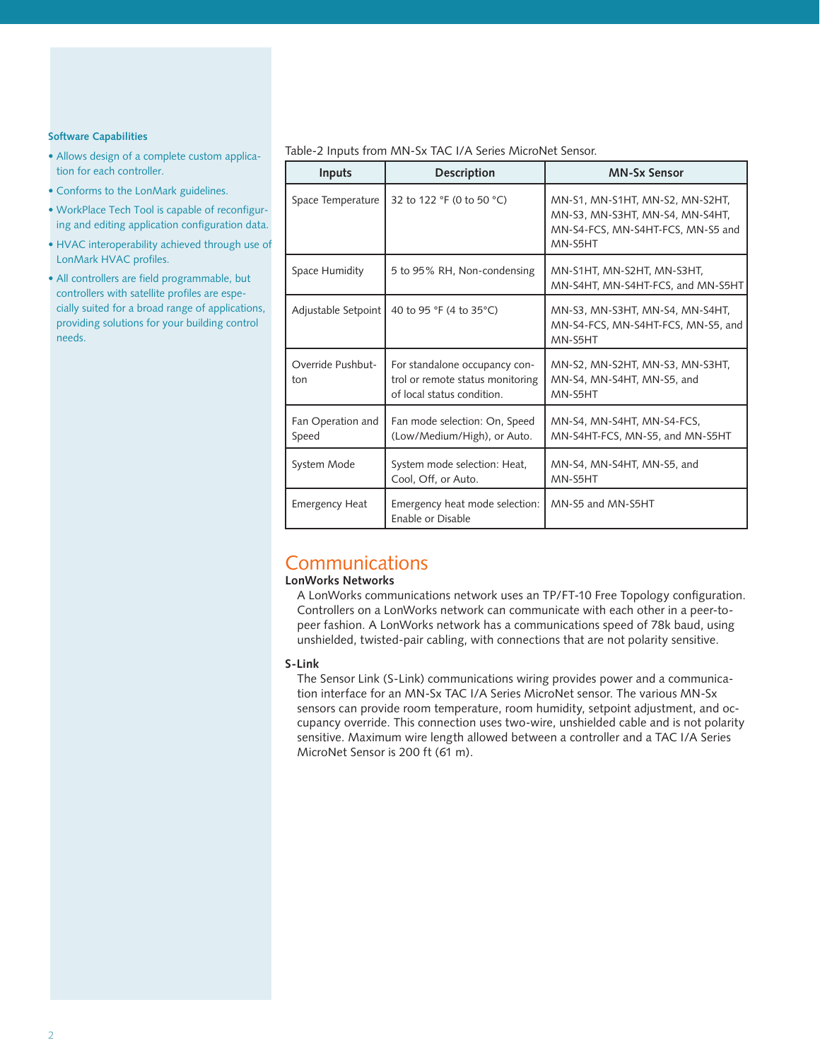#### **Software Capabilities**

- Allows design of a complete custom application for each controller.
- Conforms to the LonMark guidelines.
- WorkPlace Tech Tool is capable of reconfiguring and editing application configuration data.
- HVAC interoperability achieved through use of LonMark HVAC profiles.
- All controllers are field programmable, but controllers with satellite profiles are especially suited for a broad range of applications, providing solutions for your building control needs.

#### Table-2 Inputs from MN-Sx TAC I/A Series MicroNet Sensor.

| <b>Inputs</b>              | <b>Description</b>                                                                              | <b>MN-Sx Sensor</b>                                                                                                |
|----------------------------|-------------------------------------------------------------------------------------------------|--------------------------------------------------------------------------------------------------------------------|
| Space Temperature          | 32 to 122 °F (0 to 50 °C)                                                                       | MN-S1, MN-S1HT, MN-S2, MN-S2HT,<br>MN-S3, MN-S3HT, MN-S4, MN-S4HT,<br>MN-S4-FCS, MN-S4HT-FCS, MN-S5 and<br>MN-S5HT |
| Space Humidity             | 5 to 95% RH, Non-condensing                                                                     | MN-S1HT, MN-S2HT, MN-S3HT,<br>MN-S4HT, MN-S4HT-FCS, and MN-S5HT                                                    |
| Adjustable Setpoint        | 40 to 95 °F (4 to 35°C)                                                                         | MN-S3, MN-S3HT, MN-S4, MN-S4HT,<br>MN-S4-FCS, MN-S4HT-FCS, MN-S5, and<br>MN-S5HT                                   |
| Override Pushbut-<br>ton   | For standalone occupancy con-<br>trol or remote status monitoring<br>of local status condition. | MN-S2, MN-S2HT, MN-S3, MN-S3HT,<br>MN-S4, MN-S4HT, MN-S5, and<br>MN-S5HT                                           |
| Fan Operation and<br>Speed | Fan mode selection: On, Speed<br>(Low/Medium/High), or Auto.                                    | MN-S4, MN-S4HT, MN-S4-FCS,<br>MN-S4HT-FCS, MN-S5, and MN-S5HT                                                      |
| System Mode                | System mode selection: Heat,<br>Cool, Off, or Auto.                                             | MN-S4, MN-S4HT, MN-S5, and<br>MN-S5HT                                                                              |
| <b>Emergency Heat</b>      | Emergency heat mode selection:<br>Enable or Disable                                             | MN-S5 and MN-S5HT                                                                                                  |

## Communications

#### **LonWorks Networks**

A LonWorks communications network uses an TP/FT-10 Free Topology configuration. Controllers on a LonWorks network can communicate with each other in a peer-topeer fashion. A LonWorks network has a communications speed of 78k baud, using unshielded, twisted-pair cabling, with connections that are not polarity sensitive.

#### **S-Link**

The Sensor Link (S-Link) communications wiring provides power and a communication interface for an MN-Sx TAC I/A Series MicroNet sensor. The various MN-Sx sensors can provide room temperature, room humidity, setpoint adjustment, and occupancy override. This connection uses two-wire, unshielded cable and is not polarity sensitive. Maximum wire length allowed between a controller and a TAC I/A Series MicroNet Sensor is 200 ft (61 m).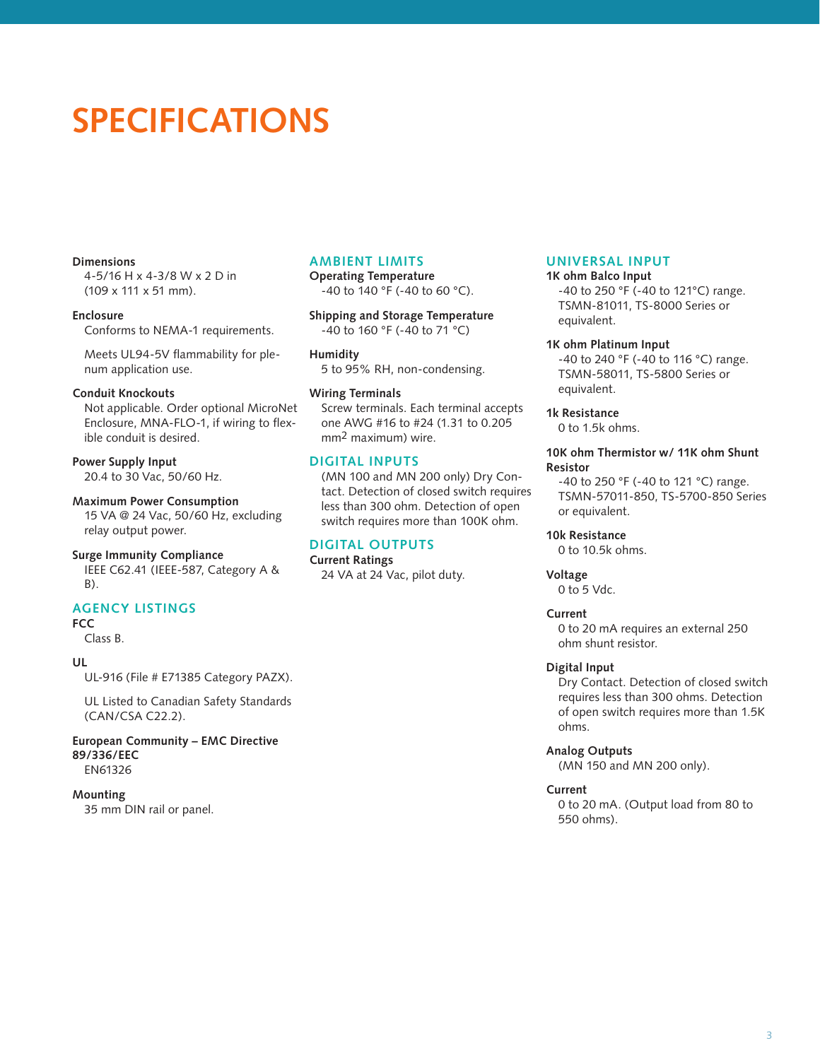# **SPECIFICATIONS**

#### **Dimensions**

4-5/16 H x 4-3/8 W x 2 D in (109 x 111 x 51 mm).

**Enclosure** Conforms to NEMA-1 requirements.

Meets UL94-5V flammability for plenum application use.

#### **Conduit Knockouts**

Not applicable. Order optional MicroNet Enclosure, MNA-FLO-1, if wiring to flexible conduit is desired.

#### **Power Supply Input** 20.4 to 30 Vac, 50/60 Hz.

**Maximum Power Consumption**

15 VA @ 24 Vac, 50/60 Hz, excluding relay output power.

#### **Surge Immunity Compliance**

IEEE C62.41 (IEEE-587, Category A & B).

#### **Agency Listings**

**FCC** 

Class B.

#### **UL**

UL-916 (File # E71385 Category PAZX).

UL Listed to Canadian Safety Standards (CAN/CSA C22.2).

**European Community – EMC Directive 89/336/EEC** EN61326

#### **Mounting**

35 mm DIN rail or panel.

#### **Ambient Limits**

**Operating Temperature** -40 to 140 °F (-40 to 60 °C).

**Shipping and Storage Temperature** -40 to 160 °F (-40 to 71 °C)

**Humidity** 5 to 95% RH, non-condensing.

#### **Wiring Terminals**

Screw terminals. Each terminal accepts one AWG #16 to #24 (1.31 to 0.205 mm2 maximum) wire.

#### **Digital Inputs**

(MN 100 and MN 200 only) Dry Contact. Detection of closed switch requires less than 300 ohm. Detection of open switch requires more than 100K ohm.

#### **Digital Outputs**

**Current Ratings** 24 VA at 24 Vac, pilot duty.

#### **Universal Input**

**1K ohm Balco Input**

-40 to 250 °F (-40 to 121°C) range. TSMN-81011, TS-8000 Series or equivalent.

#### **1K ohm Platinum Input**

-40 to 240 °F (-40 to 116 °C) range. TSMN-58011, TS-5800 Series or equivalent.

#### **1k Resistance**

0 to 1.5k ohms.

#### **10K ohm Thermistor w/ 11K ohm Shunt Resistor**

-40 to 250 °F (-40 to 121 °C) range. TSMN-57011-850, TS-5700-850 Series or equivalent.

#### **10k Resistance**

0 to 10.5k ohms.

### **Voltage**

0 to 5 Vdc.

#### **Current**

0 to 20 mA requires an external 250 ohm shunt resistor.

#### **Digital Input**

Dry Contact. Detection of closed switch requires less than 300 ohms. Detection of open switch requires more than 1.5K ohms.

#### **Analog Outputs**

(MN 150 and MN 200 only).

#### **Current**

0 to 20 mA. (Output load from 80 to 550 ohms).